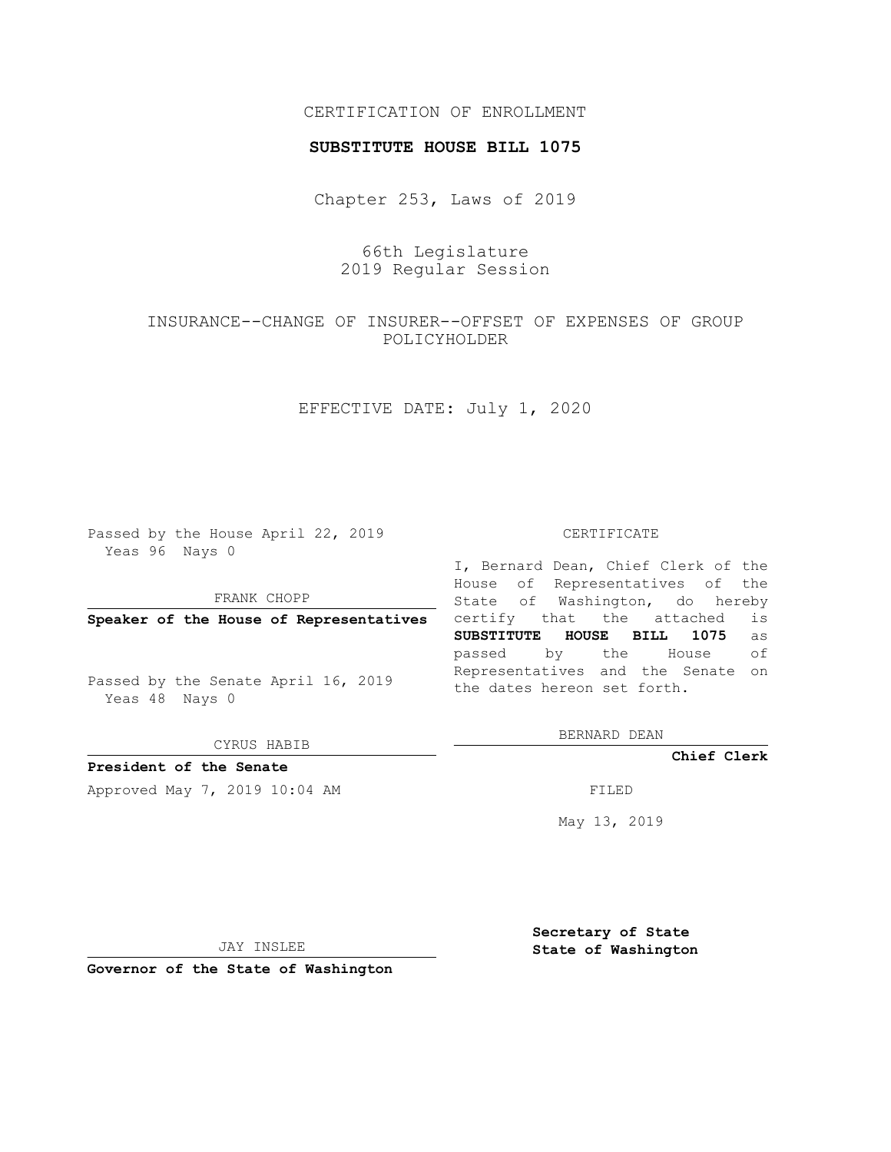### CERTIFICATION OF ENROLLMENT

#### **SUBSTITUTE HOUSE BILL 1075**

Chapter 253, Laws of 2019

66th Legislature 2019 Regular Session

INSURANCE--CHANGE OF INSURER--OFFSET OF EXPENSES OF GROUP POLICYHOLDER

EFFECTIVE DATE: July 1, 2020

Passed by the House April 22, 2019 Yeas 96 Nays 0

FRANK CHOPP

**Speaker of the House of Representatives**

Passed by the Senate April 16, 2019 Yeas 48 Nays 0

CYRUS HABIB

**President of the Senate**

Approved May 7, 2019 10:04 AM FILED

#### CERTIFICATE

I, Bernard Dean, Chief Clerk of the House of Representatives of the State of Washington, do hereby certify that the attached is **SUBSTITUTE HOUSE BILL 1075** as passed by the House of Representatives and the Senate on the dates hereon set forth.

BERNARD DEAN

**Chief Clerk**

May 13, 2019

JAY INSLEE

**Governor of the State of Washington**

**Secretary of State State of Washington**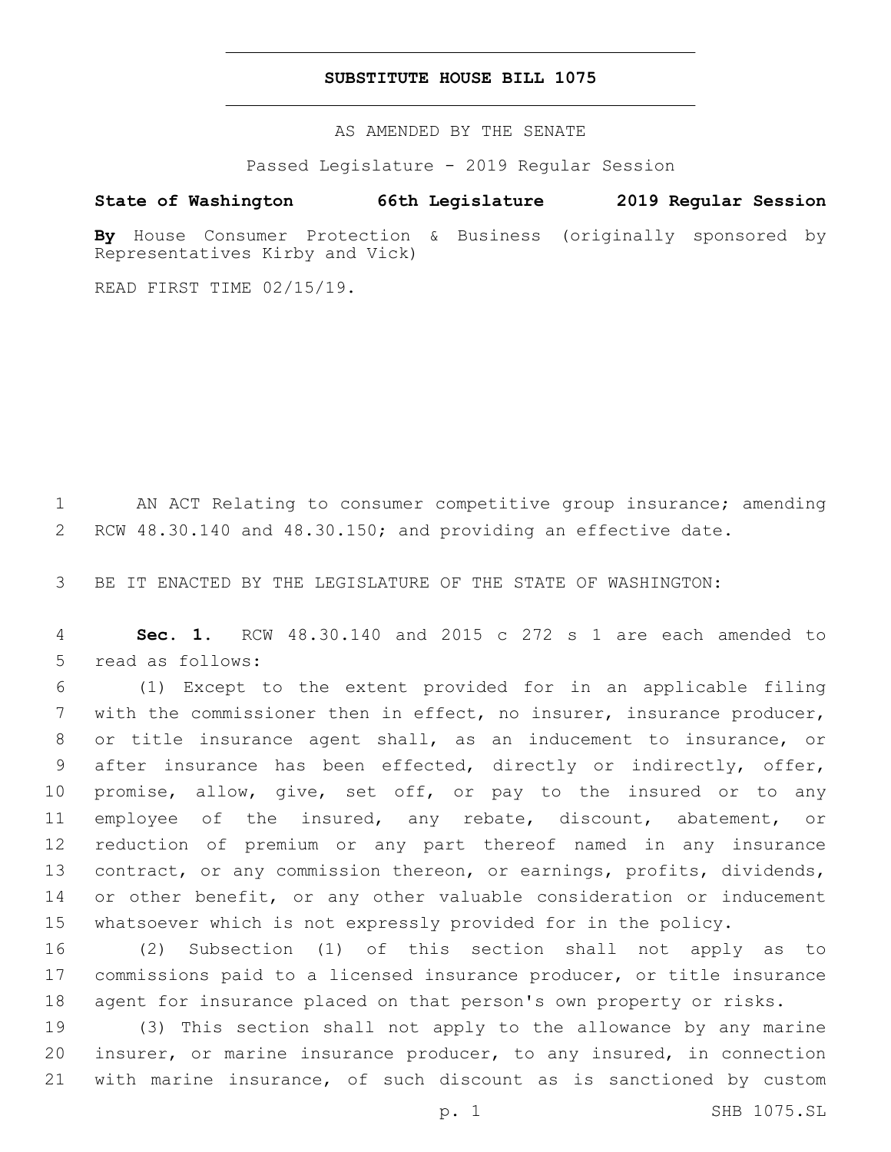#### **SUBSTITUTE HOUSE BILL 1075**

AS AMENDED BY THE SENATE

Passed Legislature - 2019 Regular Session

## **State of Washington 66th Legislature 2019 Regular Session**

**By** House Consumer Protection & Business (originally sponsored by Representatives Kirby and Vick)

READ FIRST TIME 02/15/19.

 AN ACT Relating to consumer competitive group insurance; amending RCW 48.30.140 and 48.30.150; and providing an effective date.

BE IT ENACTED BY THE LEGISLATURE OF THE STATE OF WASHINGTON:

 **Sec. 1.** RCW 48.30.140 and 2015 c 272 s 1 are each amended to 5 read as follows:

 (1) Except to the extent provided for in an applicable filing with the commissioner then in effect, no insurer, insurance producer, or title insurance agent shall, as an inducement to insurance, or after insurance has been effected, directly or indirectly, offer, promise, allow, give, set off, or pay to the insured or to any employee of the insured, any rebate, discount, abatement, or reduction of premium or any part thereof named in any insurance contract, or any commission thereon, or earnings, profits, dividends, 14 or other benefit, or any other valuable consideration or inducement whatsoever which is not expressly provided for in the policy.

 (2) Subsection (1) of this section shall not apply as to commissions paid to a licensed insurance producer, or title insurance agent for insurance placed on that person's own property or risks.

 (3) This section shall not apply to the allowance by any marine insurer, or marine insurance producer, to any insured, in connection with marine insurance, of such discount as is sanctioned by custom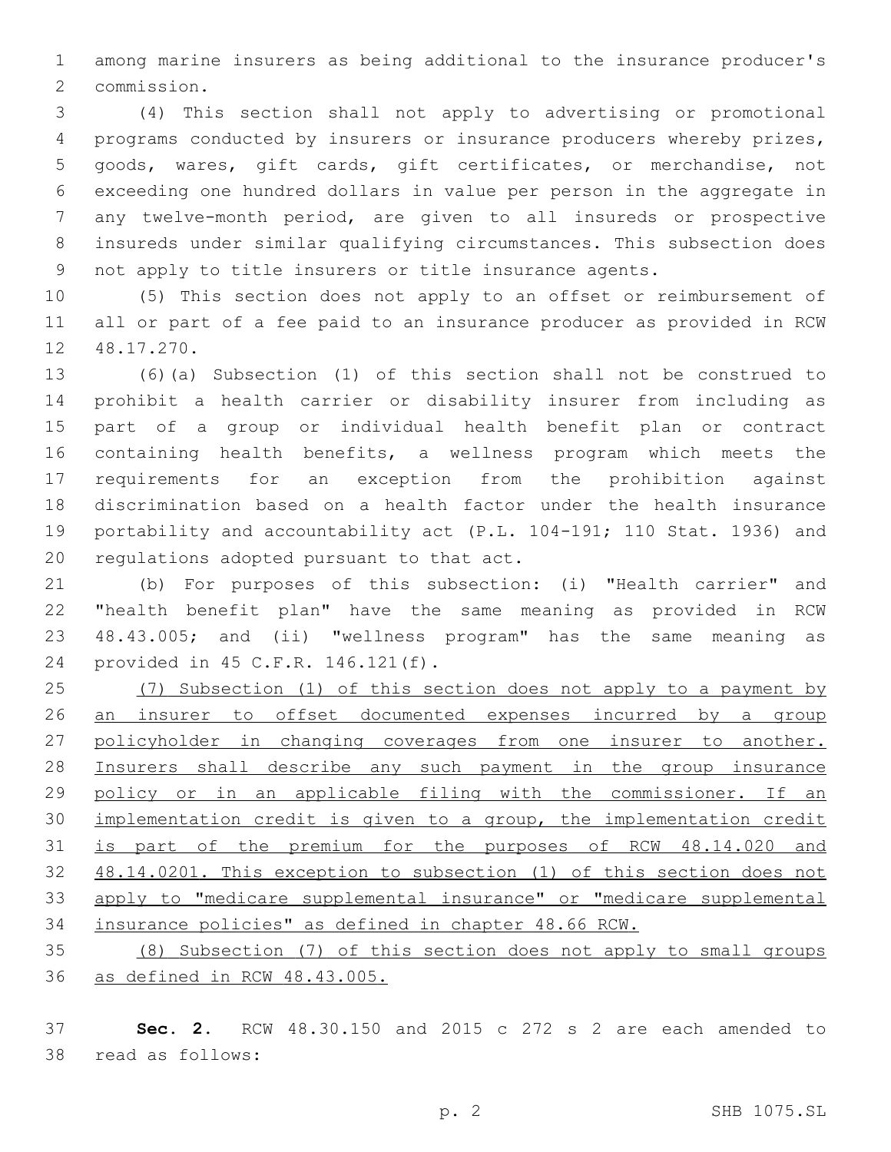among marine insurers as being additional to the insurance producer's 2 commission.

 (4) This section shall not apply to advertising or promotional programs conducted by insurers or insurance producers whereby prizes, goods, wares, gift cards, gift certificates, or merchandise, not exceeding one hundred dollars in value per person in the aggregate in any twelve-month period, are given to all insureds or prospective insureds under similar qualifying circumstances. This subsection does not apply to title insurers or title insurance agents.

 (5) This section does not apply to an offset or reimbursement of all or part of a fee paid to an insurance producer as provided in RCW 12 48.17.270.

 (6)(a) Subsection (1) of this section shall not be construed to prohibit a health carrier or disability insurer from including as part of a group or individual health benefit plan or contract containing health benefits, a wellness program which meets the requirements for an exception from the prohibition against discrimination based on a health factor under the health insurance portability and accountability act (P.L. 104-191; 110 Stat. 1936) and 20 regulations adopted pursuant to that act.

 (b) For purposes of this subsection: (i) "Health carrier" and "health benefit plan" have the same meaning as provided in RCW 48.43.005; and (ii) "wellness program" has the same meaning as 24 provided in 45 C.F.R. 146.121(f).

 (7) Subsection (1) of this section does not apply to a payment by an insurer to offset documented expenses incurred by a group 27 policyholder in changing coverages from one insurer to another. Insurers shall describe any such payment in the group insurance policy or in an applicable filing with the commissioner. If an implementation credit is given to a group, the implementation credit is part of the premium for the purposes of RCW 48.14.020 and 48.14.0201. This exception to subsection (1) of this section does not apply to "medicare supplemental insurance" or "medicare supplemental insurance policies" as defined in chapter 48.66 RCW.

 (8) Subsection (7) of this section does not apply to small groups as defined in RCW 48.43.005.

 **Sec. 2.** RCW 48.30.150 and 2015 c 272 s 2 are each amended to 38 read as follows: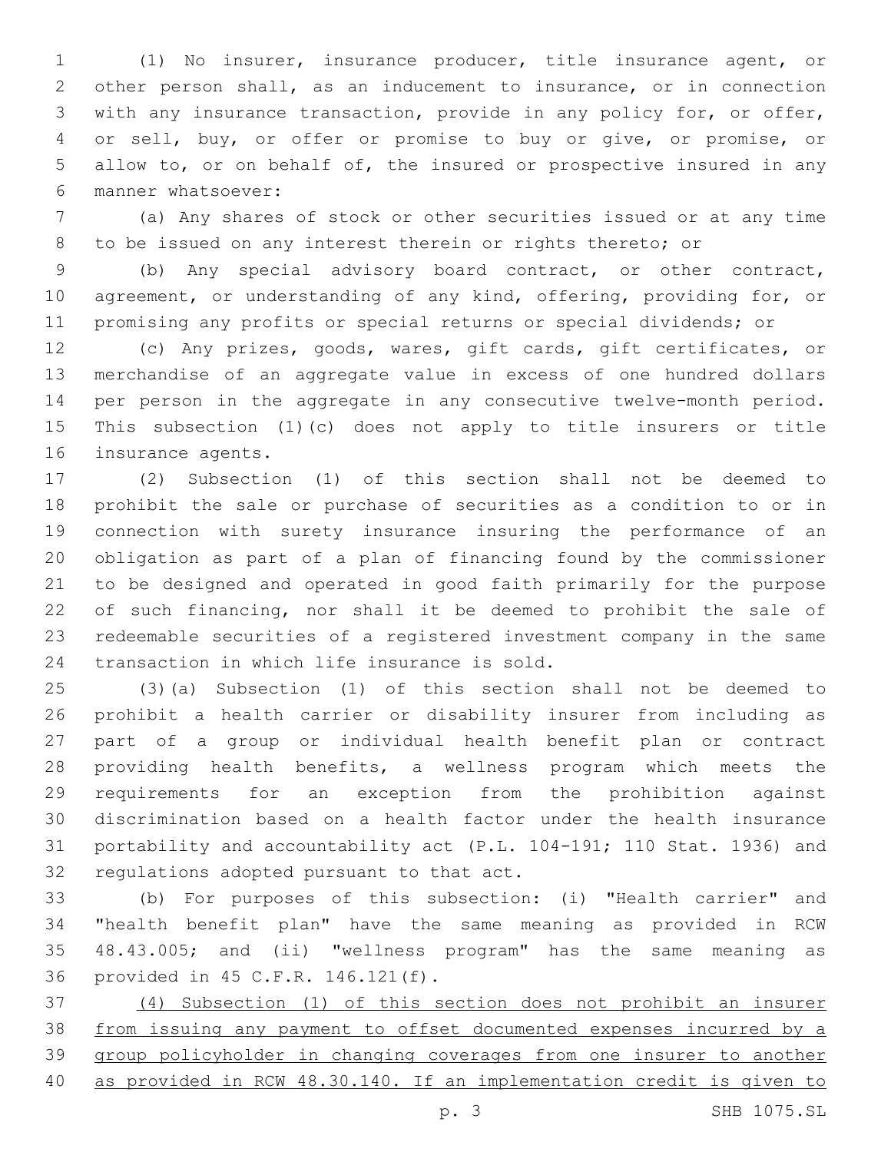(1) No insurer, insurance producer, title insurance agent, or other person shall, as an inducement to insurance, or in connection with any insurance transaction, provide in any policy for, or offer, or sell, buy, or offer or promise to buy or give, or promise, or allow to, or on behalf of, the insured or prospective insured in any manner whatsoever:6

 (a) Any shares of stock or other securities issued or at any time to be issued on any interest therein or rights thereto; or

 (b) Any special advisory board contract, or other contract, agreement, or understanding of any kind, offering, providing for, or promising any profits or special returns or special dividends; or

 (c) Any prizes, goods, wares, gift cards, gift certificates, or merchandise of an aggregate value in excess of one hundred dollars per person in the aggregate in any consecutive twelve-month period. This subsection (1)(c) does not apply to title insurers or title 16 insurance agents.

 (2) Subsection (1) of this section shall not be deemed to prohibit the sale or purchase of securities as a condition to or in connection with surety insurance insuring the performance of an obligation as part of a plan of financing found by the commissioner to be designed and operated in good faith primarily for the purpose of such financing, nor shall it be deemed to prohibit the sale of redeemable securities of a registered investment company in the same 24 transaction in which life insurance is sold.

 (3)(a) Subsection (1) of this section shall not be deemed to prohibit a health carrier or disability insurer from including as part of a group or individual health benefit plan or contract providing health benefits, a wellness program which meets the requirements for an exception from the prohibition against discrimination based on a health factor under the health insurance portability and accountability act (P.L. 104-191; 110 Stat. 1936) and 32 regulations adopted pursuant to that act.

 (b) For purposes of this subsection: (i) "Health carrier" and "health benefit plan" have the same meaning as provided in RCW 48.43.005; and (ii) "wellness program" has the same meaning as 36 provided in 45 C.F.R. 146.121(f).

 (4) Subsection (1) of this section does not prohibit an insurer from issuing any payment to offset documented expenses incurred by a group policyholder in changing coverages from one insurer to another as provided in RCW 48.30.140. If an implementation credit is given to